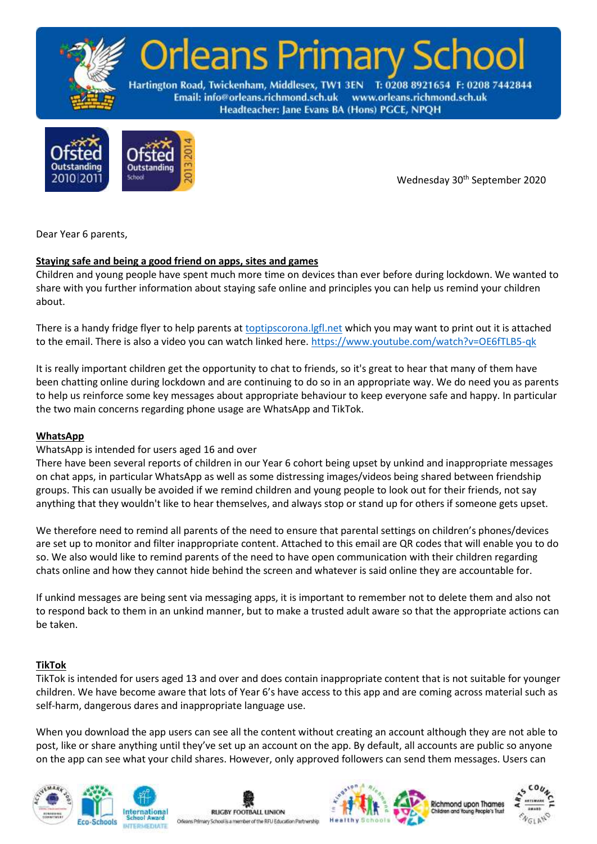



Wednesday 30<sup>th</sup> September 2020

Dear Year 6 parents,

# **Staying safe and being a good friend on apps, sites and games**

Children and young people have spent much more time on devices than ever before during lockdown. We wanted to share with you further information about staying safe online and principles you can help us remind your children about.

There is a handy fridge flyer to help parents at [toptipscorona.lgfl.net](https://toptipscorona.lgfl.net/) which you may want to print out it is attached to the email. There is also a video you can watch linked here[. https://www.youtube.com/watch?v=OE6fTLB5-qk](https://www.youtube.com/watch?v=OE6fTLB5-qk)

It is really important children get the opportunity to chat to friends, so it's great to hear that many of them have been chatting online during lockdown and are continuing to do so in an appropriate way. We do need you as parents to help us reinforce some key messages about appropriate behaviour to keep everyone safe and happy. In particular the two main concerns regarding phone usage are WhatsApp and TikTok.

#### **WhatsApp**

# WhatsApp is intended for users aged 16 and over

There have been several reports of children in our Year 6 cohort being upset by unkind and inappropriate messages on chat apps, in particular WhatsApp as well as some distressing images/videos being shared between friendship groups. This can usually be avoided if we remind children and young people to look out for their friends, not say anything that they wouldn't like to hear themselves, and always stop or stand up for others if someone gets upset.

We therefore need to remind all parents of the need to ensure that parental settings on children's phones/devices are set up to monitor and filter inappropriate content. Attached to this email are QR codes that will enable you to do so. We also would like to remind parents of the need to have open communication with their children regarding chats online and how they cannot hide behind the screen and whatever is said online they are accountable for.

If unkind messages are being sent via messaging apps, it is important to remember not to delete them and also not to respond back to them in an unkind manner, but to make a trusted adult aware so that the appropriate actions can be taken.

#### **TikTok**

TikTok is intended for users aged 13 and over and does contain inappropriate content that is not suitable for younger children. We have become aware that lots of Year 6's have access to this app and are coming across material such as self-harm, dangerous dares and inappropriate language use.

When you download the app users can see all the content without creating an account although they are not able to post, like or share anything until they've set up an account on the app. By default, all accounts are public so anyone on the app can see what your child shares. However, only approved followers can send them messages. Users can